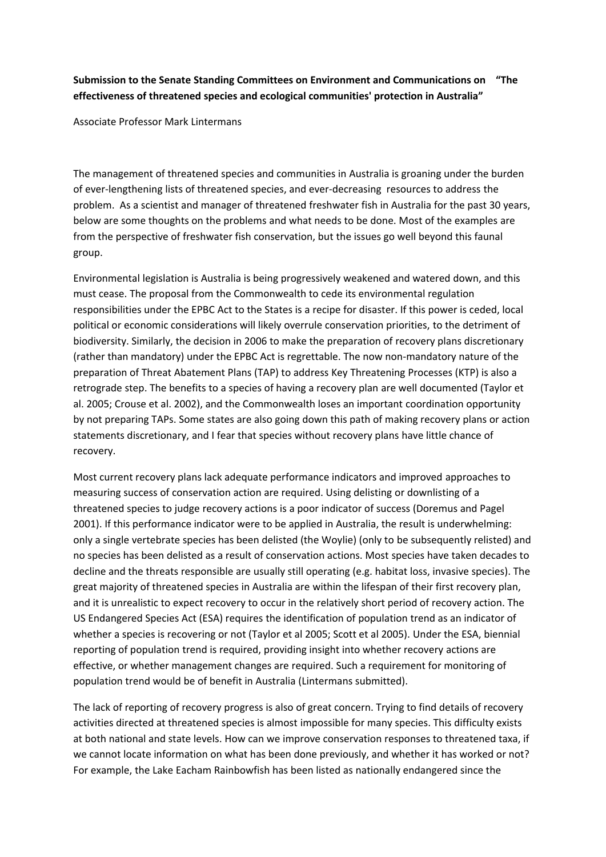## **Submission to the Senate Standing Committees on Environment and Communications on "The effectiveness of threatened species and ecological communities' protection in Australia"**

Associate Professor Mark Lintermans

The management of threatened species and communities in Australia is groaning under the burden of ever-lengthening lists of threatened species, and ever-decreasing resources to address the problem. As a scientist and manager of threatened freshwater fish in Australia for the past 30 years, below are some thoughts on the problems and what needs to be done. Most of the examples are from the perspective of freshwater fish conservation, but the issues go well beyond this faunal group.

Environmental legislation is Australia is being progressively weakened and watered down, and this must cease. The proposal from the Commonwealth to cede its environmental regulation responsibilities under the EPBC Act to the States is a recipe for disaster. If this power is ceded, local political or economic considerations will likely overrule conservation priorities, to the detriment of biodiversity. Similarly, the decision in 2006 to make the preparation of recovery plans discretionary (rather than mandatory) under the EPBC Act is regrettable. The now non-mandatory nature of the preparation of Threat Abatement Plans (TAP) to address Key Threatening Processes (KTP) is also a retrograde step. The benefits to a species of having a recovery plan are well documented (Taylor et al. 2005; Crouse et al. 2002), and the Commonwealth loses an important coordination opportunity by not preparing TAPs. Some states are also going down this path of making recovery plans or action statements discretionary, and I fear that species without recovery plans have little chance of recovery.

Most current recovery plans lack adequate performance indicators and improved approaches to measuring success of conservation action are required. Using delisting or downlisting of a threatened species to judge recovery actions is a poor indicator of success (Doremus and Pagel 2001). If this performance indicator were to be applied in Australia, the result is underwhelming: only a single vertebrate species has been delisted (the Woylie) (only to be subsequently relisted) and no species has been delisted as a result of conservation actions. Most species have taken decades to decline and the threats responsible are usually still operating (e.g. habitat loss, invasive species). The great majority of threatened species in Australia are within the lifespan of their first recovery plan, and it is unrealistic to expect recovery to occur in the relatively short period of recovery action. The US Endangered Species Act (ESA) requires the identification of population trend as an indicator of whether a species is recovering or not (Taylor et al 2005; Scott et al 2005). Under the ESA, biennial reporting of population trend is required, providing insight into whether recovery actions are effective, or whether management changes are required. Such a requirement for monitoring of population trend would be of benefit in Australia (Lintermans submitted).

The lack of reporting of recovery progress is also of great concern. Trying to find details of recovery activities directed at threatened species is almost impossible for many species. This difficulty exists at both national and state levels. How can we improve conservation responses to threatened taxa, if we cannot locate information on what has been done previously, and whether it has worked or not? For example, the Lake Eacham Rainbowfish has been listed as nationally endangered since the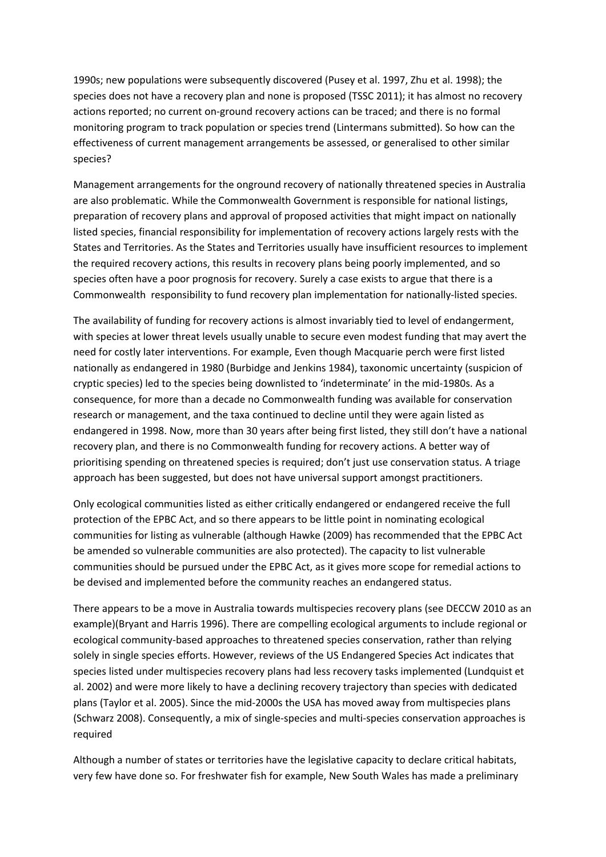1990s; new populations were subsequently discovered (Pusey et al. 1997, Zhu et al. 1998); the species does not have a recovery plan and none is proposed (TSSC 2011); it has almost no recovery actions reported; no current on-ground recovery actions can be traced; and there is no formal monitoring program to track population or species trend (Lintermans submitted). So how can the effectiveness of current management arrangements be assessed, or generalised to other similar species?

Management arrangements for the onground recovery of nationally threatened species in Australia are also problematic. While the Commonwealth Government is responsible for national listings, preparation of recovery plans and approval of proposed activities that might impact on nationally listed species, financial responsibility for implementation of recovery actions largely rests with the States and Territories. As the States and Territories usually have insufficient resources to implement the required recovery actions, this results in recovery plans being poorly implemented, and so species often have a poor prognosis for recovery. Surely a case exists to argue that there is a Commonwealth responsibility to fund recovery plan implementation for nationally-listed species.

The availability of funding for recovery actions is almost invariably tied to level of endangerment, with species at lower threat levels usually unable to secure even modest funding that may avert the need for costly later interventions. For example, Even though Macquarie perch were first listed nationally as endangered in 1980 (Burbidge and Jenkins 1984), taxonomic uncertainty (suspicion of cryptic species) led to the species being downlisted to 'indeterminate' in the mid-1980s. As a consequence, for more than a decade no Commonwealth funding was available for conservation research or management, and the taxa continued to decline until they were again listed as endangered in 1998. Now, more than 30 years after being first listed, they still don't have a national recovery plan, and there is no Commonwealth funding for recovery actions. A better way of prioritising spending on threatened species is required; don't just use conservation status. A triage approach has been suggested, but does not have universal support amongst practitioners.

Only ecological communities listed as either critically endangered or endangered receive the full protection of the EPBC Act, and so there appears to be little point in nominating ecological communities for listing as vulnerable (although Hawke (2009) has recommended that the EPBC Act be amended so vulnerable communities are also protected). The capacity to list vulnerable communities should be pursued under the EPBC Act, as it gives more scope for remedial actions to be devised and implemented before the community reaches an endangered status.

There appears to be a move in Australia towards multispecies recovery plans (see DECCW 2010 as an example)(Bryant and Harris 1996). There are compelling ecological arguments to include regional or ecological community-based approaches to threatened species conservation, rather than relying solely in single species efforts. However, reviews of the US Endangered Species Act indicates that species listed under multispecies recovery plans had less recovery tasks implemented (Lundquist et al. 2002) and were more likely to have a declining recovery trajectory than species with dedicated plans (Taylor et al. 2005). Since the mid-2000s the USA has moved away from multispecies plans (Schwarz 2008). Consequently, a mix of single-species and multi-species conservation approaches is required

Although a number of states or territories have the legislative capacity to declare critical habitats, very few have done so. For freshwater fish for example, New South Wales has made a preliminary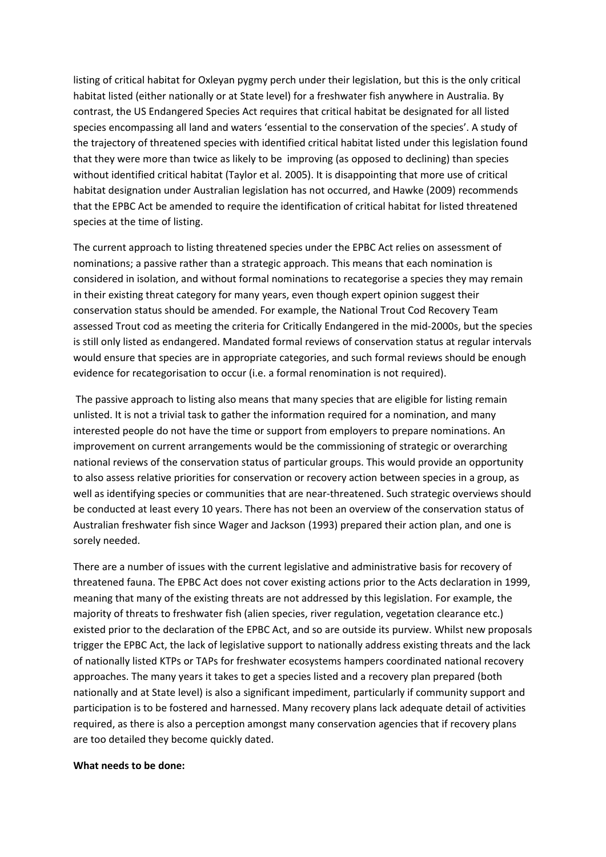listing of critical habitat for Oxleyan pygmy perch under their legislation, but this is the only critical habitat listed (either nationally or at State level) for a freshwater fish anywhere in Australia. By contrast, the US Endangered Species Act requires that critical habitat be designated for all listed species encompassing all land and waters 'essential to the conservation of the species'. A study of the trajectory of threatened species with identified critical habitat listed under this legislation found that they were more than twice as likely to be improving (as opposed to declining) than species without identified critical habitat (Taylor et al. 2005). It is disappointing that more use of critical habitat designation under Australian legislation has not occurred, and Hawke (2009) recommends that the EPBC Act be amended to require the identification of critical habitat for listed threatened species at the time of listing.

The current approach to listing threatened species under the EPBC Act relies on assessment of nominations; a passive rather than a strategic approach. This means that each nomination is considered in isolation, and without formal nominations to recategorise a species they may remain in their existing threat category for many years, even though expert opinion suggest their conservation status should be amended. For example, the National Trout Cod Recovery Team assessed Trout cod as meeting the criteria for Critically Endangered in the mid-2000s, but the species is still only listed as endangered. Mandated formal reviews of conservation status at regular intervals would ensure that species are in appropriate categories, and such formal reviews should be enough evidence for recategorisation to occur (i.e. a formal renomination is not required).

The passive approach to listing also means that many species that are eligible for listing remain unlisted. It is not a trivial task to gather the information required for a nomination, and many interested people do not have the time or support from employers to prepare nominations. An improvement on current arrangements would be the commissioning of strategic or overarching national reviews of the conservation status of particular groups. This would provide an opportunity to also assess relative priorities for conservation or recovery action between species in a group, as well as identifying species or communities that are near-threatened. Such strategic overviews should be conducted at least every 10 years. There has not been an overview of the conservation status of Australian freshwater fish since Wager and Jackson (1993) prepared their action plan, and one is sorely needed.

There are a number of issues with the current legislative and administrative basis for recovery of threatened fauna. The EPBC Act does not cover existing actions prior to the Acts declaration in 1999, meaning that many of the existing threats are not addressed by this legislation. For example, the majority of threats to freshwater fish (alien species, river regulation, vegetation clearance etc.) existed prior to the declaration of the EPBC Act, and so are outside its purview. Whilst new proposals trigger the EPBC Act, the lack of legislative support to nationally address existing threats and the lack of nationally listed KTPs or TAPs for freshwater ecosystems hampers coordinated national recovery approaches. The many years it takes to get a species listed and a recovery plan prepared (both nationally and at State level) is also a significant impediment, particularly if community support and participation is to be fostered and harnessed. Many recovery plans lack adequate detail of activities required, as there is also a perception amongst many conservation agencies that if recovery plans are too detailed they become quickly dated.

## **What needs to be done:**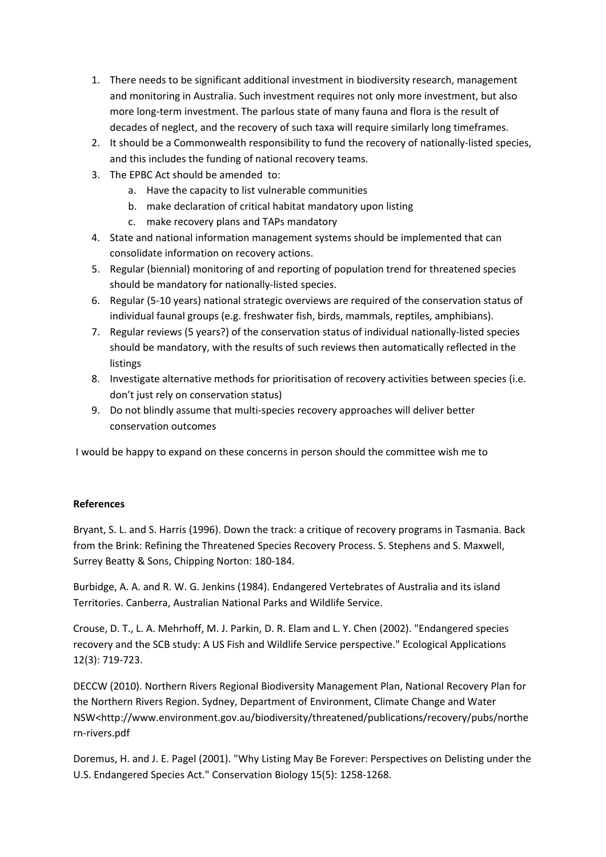- 1. There needs to be significant additional investment in biodiversity research, management and monitoring in Australia. Such investment requires not only more investment, but also more long-term investment. The parlous state of many fauna and flora is the result of decades of neglect, and the recovery of such taxa will require similarly long timeframes.
- 2. It should be a Commonwealth responsibility to fund the recovery of nationally-listed species, and this includes the funding of national recovery teams.
- 3. The EPBC Act should be amended to:
	- a. Have the capacity to list vulnerable communities
	- b. make declaration of critical habitat mandatory upon listing
	- c. make recovery plans and TAPs mandatory
- 4. State and national information management systems should be implemented that can consolidate information on recovery actions.
- 5. Regular (biennial) monitoring of and reporting of population trend for threatened species should be mandatory for nationally-listed species.
- 6. Regular (5-10 years) national strategic overviews are required of the conservation status of individual faunal groups (e.g. freshwater fish, birds, mammals, reptiles, amphibians).
- 7. Regular reviews (5 years?) of the conservation status of individual nationally-listed species should be mandatory, with the results of such reviews then automatically reflected in the listings
- 8. Investigate alternative methods for prioritisation of recovery activities between species (i.e. don't just rely on conservation status)
- 9. Do not blindly assume that multi-species recovery approaches will deliver better conservation outcomes

I would be happy to expand on these concerns in person should the committee wish me to

## **References**

Bryant, S. L. and S. Harris (1996). Down the track: a critique of recovery programs in Tasmania. Back from the Brink: Refining the Threatened Species Recovery Process. S. Stephens and S. Maxwell, Surrey Beatty & Sons, Chipping Norton: 180-184.

Burbidge, A. A. and R. W. G. Jenkins (1984). Endangered Vertebrates of Australia and its island Territories. Canberra, Australian National Parks and Wildlife Service.

Crouse, D. T., L. A. Mehrhoff, M. J. Parkin, D. R. Elam and L. Y. Chen (2002). "Endangered species recovery and the SCB study: A US Fish and Wildlife Service perspective." Ecological Applications 12(3): 719-723.

DECCW (2010). Northern Rivers Regional Biodiversity Management Plan, National Recovery Plan for the Northern Rivers Region. Sydney, Department of Environment, Climate Change and Water NSW<http://www.environment.gov.au/biodiversity/threatened/publications/recovery/pubs/northe rn-rivers.pdf

Doremus, H. and J. E. Pagel (2001). "Why Listing May Be Forever: Perspectives on Delisting under the U.S. Endangered Species Act." Conservation Biology 15(5): 1258-1268.